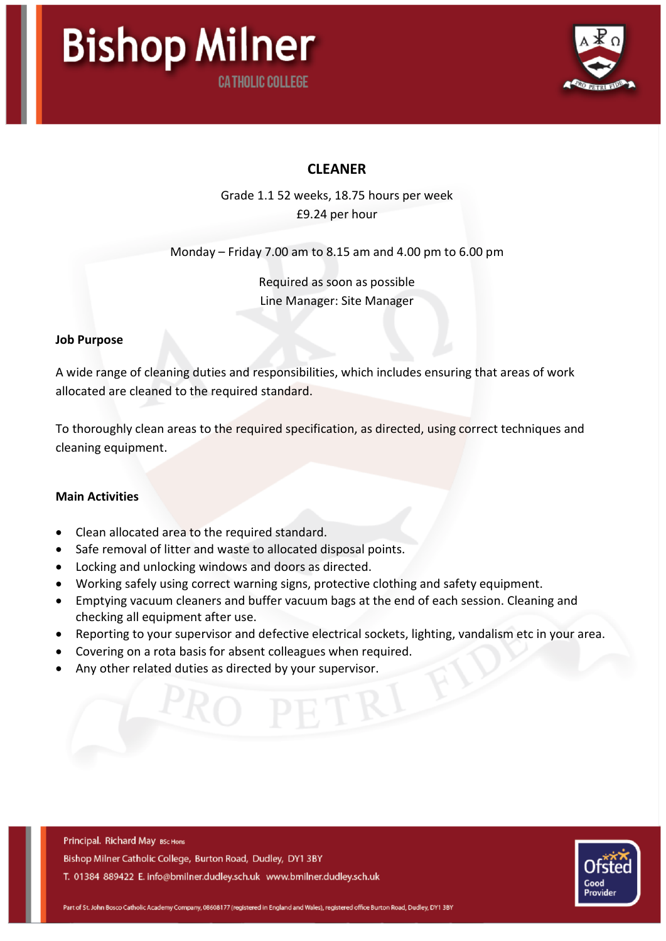



## **CLEANER**

Grade 1.1 52 weeks, 18.75 hours per week £9.24 per hour

Monday – Friday 7.00 am to 8.15 am and 4.00 pm to 6.00 pm

Required as soon as possible Line Manager: Site Manager

#### Job Purpose

A wide range of cleaning duties and responsibilities, which includes ensuring that areas of work allocated are cleaned to the required standard.

To thoroughly clean areas to the required specification, as directed, using correct techniques and cleaning equipment.

### Main Activities

- Clean allocated area to the required standard.
- Safe removal of litter and waste to allocated disposal points.
- Locking and unlocking windows and doors as directed.
- Working safely using correct warning signs, protective clothing and safety equipment.
- Emptying vacuum cleaners and buffer vacuum bags at the end of each session. Cleaning and checking all equipment after use.
- Reporting to your supervisor and defective electrical sockets, lighting, vandalism etc in your area.
- Covering on a rota basis for absent colleagues when required.
- Any other related duties as directed by your supervisor.

Principal. Richard May BSc Hons Bishop Milner Catholic College, Burton Road, Dudley, DY1 3BY T. 01384 889422 E. info@bmilner.dudley.sch.uk www.bmilner.dudley.sch.uk